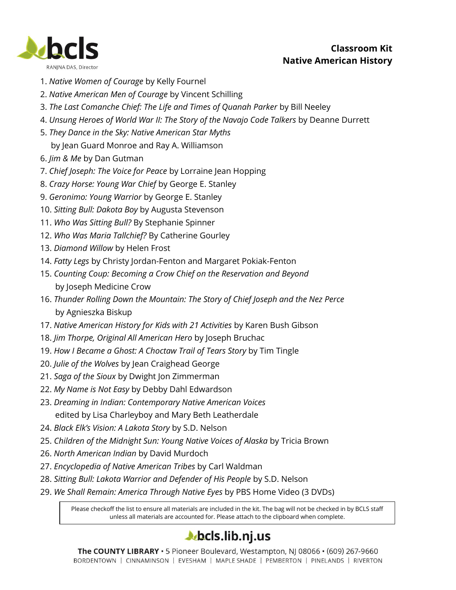

- 1. *Native Women of Courage* by Kelly Fournel
- 2. *Native American Men of Courage* by Vincent Schilling
- 3. *The Last Comanche Chief: The Life and Times of Quanah Parker* by Bill Neeley
- 4. *Unsung Heroes of World War II: The Story of the Navajo Code Talkers* by Deanne Durrett
- 5. *They Dance in the Sky: Native American Star Myths*
	- by Jean Guard Monroe and Ray A. Williamson
- 6. *Jim & Me* by Dan Gutman
- 7. *Chief Joseph: The Voice for Peace* by Lorraine Jean Hopping
- 8. *Crazy Horse: Young War Chief* by George E. Stanley
- 9. *Geronimo: Young Warrior* by George E. Stanley
- 10. *Sitting Bull: Dakota Boy* by Augusta Stevenson
- 11. *Who Was Sitting Bull?* By Stephanie Spinner
- 12. *Who Was Maria Tallchief?* By Catherine Gourley
- 13. *Diamond Willow* by Helen Frost
- 14. *Fatty Legs* by Christy Jordan-Fenton and Margaret Pokiak-Fenton
- 15. *Counting Coup: Becoming a Crow Chief on the Reservation and Beyond* by Joseph Medicine Crow
- 16. *Thunder Rolling Down the Mountain: The Story of Chief Joseph and the Nez Perce* by Agnieszka Biskup
- 17. *Native American History for Kids with 21 Activities* by Karen Bush Gibson
- 18. *Jim Thorpe, Original All American Hero* by Joseph Bruchac
- 19. *How I Became a Ghost: A Choctaw Trail of Tears Story* by Tim Tingle
- 20. *Julie of the Wolves* by Jean Craighead George
- 21. *Saga of the Sioux* by Dwight Jon Zimmerman
- 22. *My Name is Not Easy* by Debby Dahl Edwardson
- 23. *Dreaming in Indian: Contemporary Native American Voices* edited by Lisa Charleyboy and Mary Beth Leatherdale
- 24. *Black Elk's Vision: A Lakota Story* by S.D. Nelson
- 25. *Children of the Midnight Sun: Young Native Voices of Alaska* by Tricia Brown
- 26. *North American Indian* by David Murdoch
- 27. *Encyclopedia of Native American Tribes* by Carl Waldman
- 28. *Sitting Bull: Lakota Warrior and Defender of His People* by S.D. Nelson
- 29. *We Shall Remain: America Through Native Eyes* by PBS Home Video (3 DVDs)

Please checkoff the list to ensure all materials are included in the kit. The bag will not be checked in by BCLS staff unless all materials are accounted for. Please attach to the clipboard when complete.

## $\blacktriangle$  bcls.lib.nj.us

The COUNTY LIBRARY · 5 Pioneer Boulevard, Westampton, NJ 08066 · (609) 267-9660 BORDENTOWN | CINNAMINSON | EVESHAM | MAPLE SHADE | PEMBERTON | PINELANDS | RIVERTON